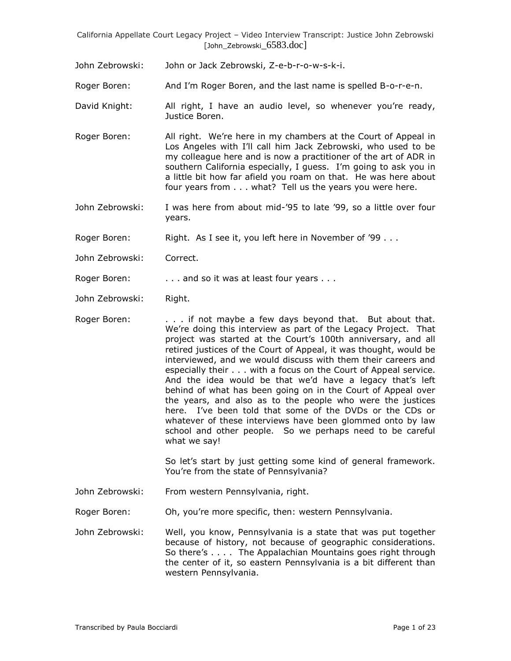John Zebrowski: John or Jack Zebrowski, Z-e-b-r-o-w-s-k-i.

Roger Boren: And I'm Roger Boren, and the last name is spelled B-o-r-e-n.

- David Knight: All right, I have an audio level, so whenever you're ready, Justice Boren.
- Roger Boren: All right. We're here in my chambers at the Court of Appeal in Los Angeles with I'll call him Jack Zebrowski, who used to be my colleague here and is now a practitioner of the art of ADR in southern California especially, I guess. I'm going to ask you in a little bit how far afield you roam on that. He was here about four years from . . . what? Tell us the years you were here.
- John Zebrowski: I was here from about mid-'95 to late '99, so a little over four years.

Roger Boren: Right. As I see it, you left here in November of '99 . . .

John Zebrowski: Correct.

Roger Boren: . . . . . . . and so it was at least four years . . .

John Zebrowski: Right.

Roger Boren: . . . . if not maybe a few days beyond that. But about that. We're doing this interview as part of the Legacy Project. That project was started at the Court's 100th anniversary, and all retired justices of the Court of Appeal, it was thought, would be interviewed, and we would discuss with them their careers and especially their . . . with a focus on the Court of Appeal service. And the idea would be that we'd have a legacy that's left behind of what has been going on in the Court of Appeal over the years, and also as to the people who were the justices here. I've been told that some of the DVDs or the CDs or whatever of these interviews have been glommed onto by law school and other people. So we perhaps need to be careful what we say!

> So let's start by just getting some kind of general framework. You're from the state of Pennsylvania?

John Zebrowski: From western Pennsylvania, right.

Roger Boren: Oh, you're more specific, then: western Pennsylvania.

John Zebrowski: Well, you know, Pennsylvania is a state that was put together because of history, not because of geographic considerations. So there's . . . . The Appalachian Mountains goes right through the center of it, so eastern Pennsylvania is a bit different than western Pennsylvania.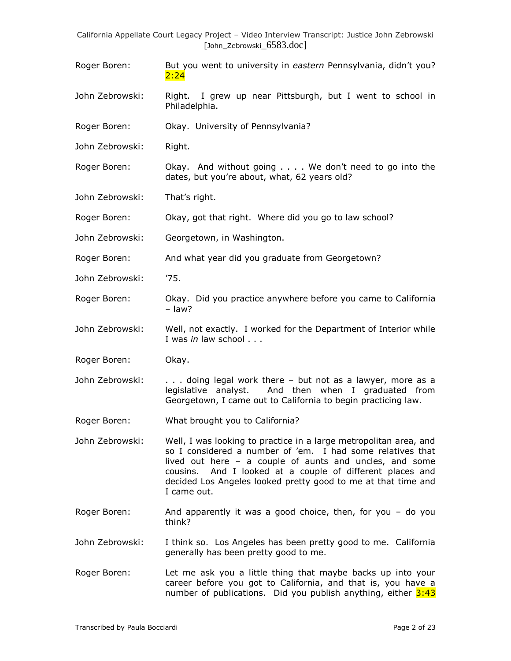- Roger Boren: But you went to university in *eastern* Pennsylvania, didn't you? 2:24
- John Zebrowski: Right. I grew up near Pittsburgh, but I went to school in Philadelphia.
- Roger Boren: Okay. University of Pennsylvania?
- John Zebrowski: Right.

Roger Boren: Okay. And without going . . . . We don't need to go into the dates, but you're about, what, 62 years old?

- John Zebrowski: That's right.
- Roger Boren: Okay, got that right. Where did you go to law school?
- John Zebrowski: Georgetown, in Washington.
- Roger Boren: And what year did you graduate from Georgetown?
- John Zebrowski: '75.
- Roger Boren: Okay. Did you practice anywhere before you came to California – law?
- John Zebrowski: Well, not exactly. I worked for the Department of Interior while I was *in* law school . . .
- Roger Boren: Okay.
- John Zebrowski: . . . . doing legal work there but not as a lawyer, more as a legislative analyst. And then when I graduated from Georgetown, I came out to California to begin practicing law.
- Roger Boren: What brought you to California?
- John Zebrowski: Well, I was looking to practice in a large metropolitan area, and so I considered a number of 'em. I had some relatives that lived out here – a couple of aunts and uncles, and some cousins. And I looked at a couple of different places and decided Los Angeles looked pretty good to me at that time and I came out.
- Roger Boren: And apparently it was a good choice, then, for you do you think?
- John Zebrowski: I think so. Los Angeles has been pretty good to me. California generally has been pretty good to me.
- Roger Boren: Let me ask you a little thing that maybe backs up into your career before you got to California, and that is, you have a number of publications. Did you publish anything, either  $3:43$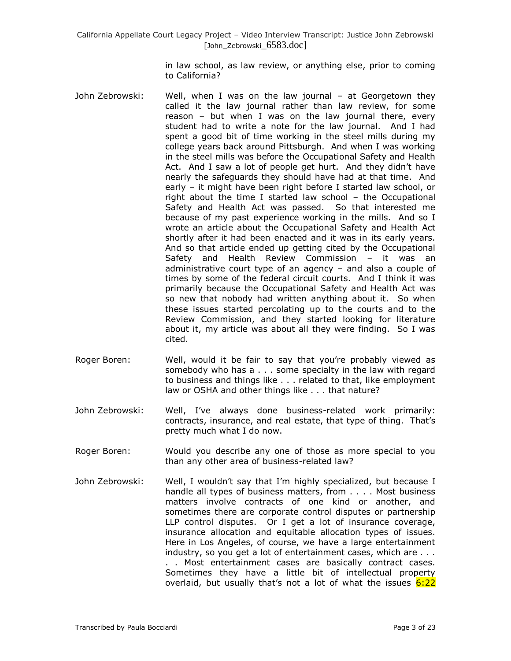in law school, as law review, or anything else, prior to coming to California?

- John Zebrowski: Well, when I was on the law journal at Georgetown they called it the law journal rather than law review, for some reason – but when I was on the law journal there, every student had to write a note for the law journal. And I had spent a good bit of time working in the steel mills during my college years back around Pittsburgh. And when I was working in the steel mills was before the Occupational Safety and Health Act. And I saw a lot of people get hurt. And they didn't have nearly the safeguards they should have had at that time. And early – it might have been right before I started law school, or right about the time I started law school – the Occupational Safety and Health Act was passed. So that interested me because of my past experience working in the mills. And so I wrote an article about the Occupational Safety and Health Act shortly after it had been enacted and it was in its early years. And so that article ended up getting cited by the Occupational Safety and Health Review Commission – it was an administrative court type of an agency – and also a couple of times by some of the federal circuit courts. And I think it was primarily because the Occupational Safety and Health Act was so new that nobody had written anything about it. So when these issues started percolating up to the courts and to the Review Commission, and they started looking for literature about it, my article was about all they were finding. So I was cited.
- Roger Boren: Well, would it be fair to say that you're probably viewed as somebody who has a . . . some specialty in the law with regard to business and things like . . . related to that, like employment law or OSHA and other things like . . . that nature?
- John Zebrowski: Well, I've always done business-related work primarily: contracts, insurance, and real estate, that type of thing. That's pretty much what I do now.
- Roger Boren: Would you describe any one of those as more special to you than any other area of business-related law?
- John Zebrowski: Well, I wouldn't say that I'm highly specialized, but because I handle all types of business matters, from . . . . Most business matters involve contracts of one kind or another, and sometimes there are corporate control disputes or partnership LLP control disputes. Or I get a lot of insurance coverage, insurance allocation and equitable allocation types of issues. Here in Los Angeles, of course, we have a large entertainment industry, so you get a lot of entertainment cases, which are . . . . . Most entertainment cases are basically contract cases. Sometimes they have a little bit of intellectual property overlaid, but usually that's not a lot of what the issues 6:22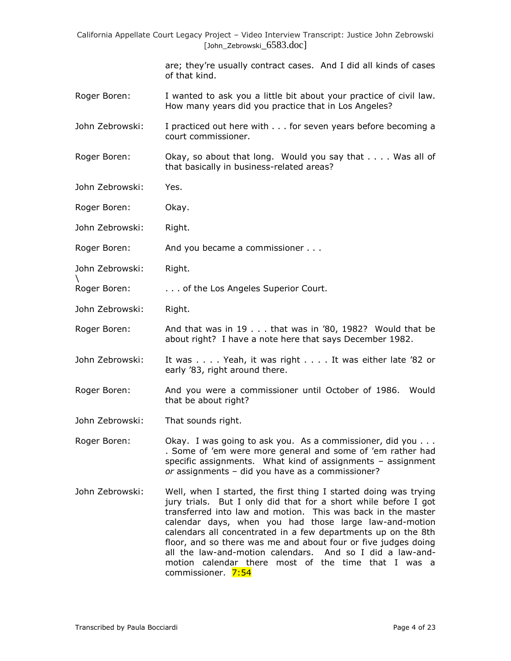> are; they're usually contract cases. And I did all kinds of cases of that kind.

- Roger Boren: I wanted to ask you a little bit about your practice of civil law. How many years did you practice that in Los Angeles?
- John Zebrowski: I practiced out here with . . . for seven years before becoming a court commissioner.
- Roger Boren: Okay, so about that long. Would you say that . . . . Was all of that basically in business-related areas?
- John Zebrowski: Yes.
- Roger Boren: Okay.
- John Zebrowski: Right.
- Roger Boren: And you became a commissioner . . .
- John Zebrowski: Right.

\

- Roger Boren: . . . . . . of the Los Angeles Superior Court.
- John Zebrowski: Right.
- Roger Boren: And that was in 19 . . . that was in '80, 1982? Would that be about right? I have a note here that says December 1982.
- John Zebrowski: It was . . . . Yeah, it was right . . . . It was either late '82 or early '83, right around there.
- Roger Boren: And you were a commissioner until October of 1986. Would that be about right?
- John Zebrowski: That sounds right.
- Roger Boren: Okay. I was going to ask you. As a commissioner, did you ... . Some of 'em were more general and some of 'em rather had specific assignments. What kind of assignments – assignment *or* assignments – did you have as a commissioner?
- John Zebrowski: Well, when I started, the first thing I started doing was trying jury trials. But I only did that for a short while before I got transferred into law and motion. This was back in the master calendar days, when you had those large law-and-motion calendars all concentrated in a few departments up on the 8th floor, and so there was me and about four or five judges doing all the law-and-motion calendars. And so I did a law-andmotion calendar there most of the time that I was a commissioner. 7:54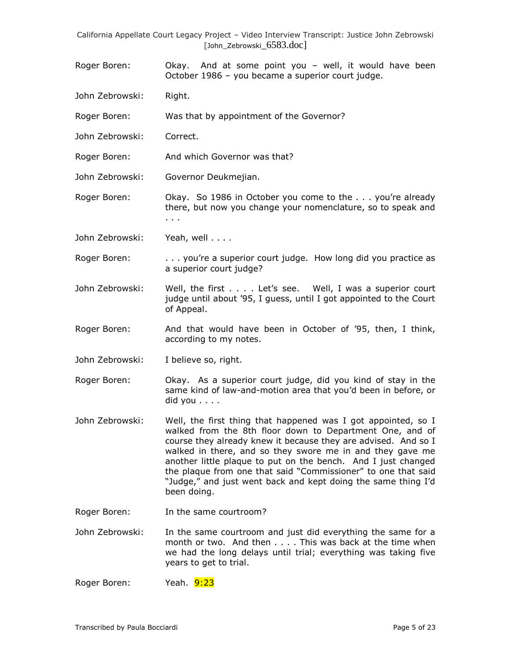- Roger Boren: Okay. And at some point you well, it would have been October 1986 – you became a superior court judge.
- John Zebrowski: Right.
- Roger Boren: Was that by appointment of the Governor?
- John Zebrowski: Correct.
- Roger Boren: And which Governor was that?
- John Zebrowski: Governor Deukmejian.
- Roger Boren: Okay. So 1986 in October you come to the . . . you're already there, but now you change your nomenclature, so to speak and . . .
- John Zebrowski: Yeah, well . . . .
- Roger Boren: ... you're a superior court judge. How long did you practice as a superior court judge?
- John Zebrowski: Well, the first . . . . Let's see. Well, I was a superior court judge until about '95, I guess, until I got appointed to the Court of Appeal.
- Roger Boren: And that would have been in October of '95, then, I think, according to my notes.
- John Zebrowski: I believe so, right.
- Roger Boren: Okay. As a superior court judge, did you kind of stay in the same kind of law-and-motion area that you'd been in before, or did you . . . .
- John Zebrowski: Well, the first thing that happened was I got appointed, so I walked from the 8th floor down to Department One, and of course they already knew it because they are advised. And so I walked in there, and so they swore me in and they gave me another little plaque to put on the bench. And I just changed the plaque from one that said "Commissioner" to one that said "Judge," and just went back and kept doing the same thing I'd been doing.
- Roger Boren: In the same courtroom?
- John Zebrowski: In the same courtroom and just did everything the same for a month or two. And then . . . . This was back at the time when we had the long delays until trial; everything was taking five years to get to trial.
- Roger Boren: Yeah. 9:23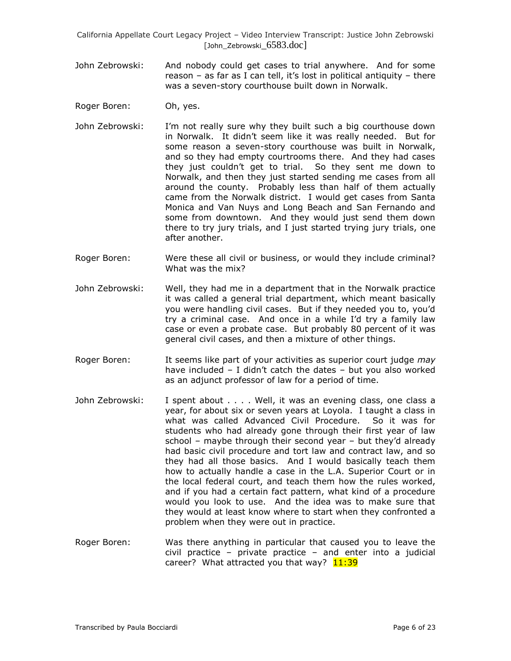- John Zebrowski: And nobody could get cases to trial anywhere. And for some reason – as far as I can tell, it's lost in political antiquity – there was a seven-story courthouse built down in Norwalk.
- Roger Boren: Oh, yes.
- John Zebrowski: I'm not really sure why they built such a big courthouse down in Norwalk. It didn't seem like it was really needed. But for some reason a seven-story courthouse was built in Norwalk, and so they had empty courtrooms there. And they had cases they just couldn't get to trial. So they sent me down to Norwalk, and then they just started sending me cases from all around the county. Probably less than half of them actually came from the Norwalk district. I would get cases from Santa Monica and Van Nuys and Long Beach and San Fernando and some from downtown. And they would just send them down there to try jury trials, and I just started trying jury trials, one after another.
- Roger Boren: Were these all civil or business, or would they include criminal? What was the mix?
- John Zebrowski: Well, they had me in a department that in the Norwalk practice it was called a general trial department, which meant basically you were handling civil cases. But if they needed you to, you'd try a criminal case. And once in a while I'd try a family law case or even a probate case. But probably 80 percent of it was general civil cases, and then a mixture of other things.
- Roger Boren: It seems like part of your activities as superior court judge *may* have included – I didn't catch the dates – but you also worked as an adjunct professor of law for a period of time.
- John Zebrowski: I spent about . . . . Well, it was an evening class, one class a year, for about six or seven years at Loyola. I taught a class in what was called Advanced Civil Procedure. So it was for students who had already gone through their first year of law school – maybe through their second year – but they'd already had basic civil procedure and tort law and contract law, and so they had all those basics. And I would basically teach them how to actually handle a case in the L.A. Superior Court or in the local federal court, and teach them how the rules worked, and if you had a certain fact pattern, what kind of a procedure would you look to use. And the idea was to make sure that they would at least know where to start when they confronted a problem when they were out in practice.
- Roger Boren: Was there anything in particular that caused you to leave the civil practice – private practice – and enter into a judicial career? What attracted you that way? 11:39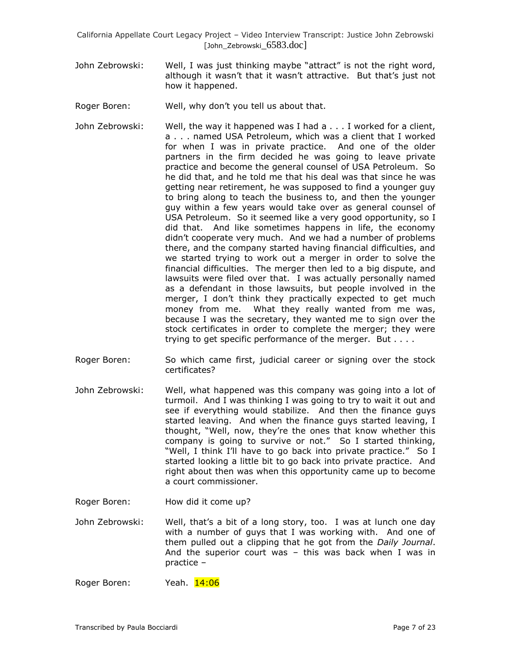- John Zebrowski: Well, I was just thinking maybe "attract" is not the right word, although it wasn't that it wasn't attractive. But that's just not how it happened.
- Roger Boren: Well, why don't you tell us about that.
- John Zebrowski: Well, the way it happened was I had a . . . I worked for a client, a . . . named USA Petroleum, which was a client that I worked for when I was in private practice. And one of the older partners in the firm decided he was going to leave private practice and become the general counsel of USA Petroleum. So he did that, and he told me that his deal was that since he was getting near retirement, he was supposed to find a younger guy to bring along to teach the business to, and then the younger guy within a few years would take over as general counsel of USA Petroleum. So it seemed like a very good opportunity, so I did that. And like sometimes happens in life, the economy didn't cooperate very much. And we had a number of problems there, and the company started having financial difficulties, and we started trying to work out a merger in order to solve the financial difficulties. The merger then led to a big dispute, and lawsuits were filed over that. I was actually personally named as a defendant in those lawsuits, but people involved in the merger, I don't think they practically expected to get much money from me. What they really wanted from me was, because I was the secretary, they wanted me to sign over the stock certificates in order to complete the merger; they were trying to get specific performance of the merger. But . . . .
- Roger Boren: So which came first, judicial career or signing over the stock certificates?
- John Zebrowski: Well, what happened was this company was going into a lot of turmoil. And I was thinking I was going to try to wait it out and see if everything would stabilize. And then the finance guys started leaving. And when the finance guys started leaving, I thought, "Well, now, they're the ones that know whether this company is going to survive or not." So I started thinking, "Well, I think I'll have to go back into private practice." So I started looking a little bit to go back into private practice. And right about then was when this opportunity came up to become a court commissioner.
- Roger Boren: How did it come up?
- John Zebrowski: Well, that's a bit of a long story, too. I was at lunch one day with a number of guys that I was working with. And one of them pulled out a clipping that he got from the *Daily Journal*. And the superior court was – this was back when I was in practice –
- Roger Boren: Yeah. 14:06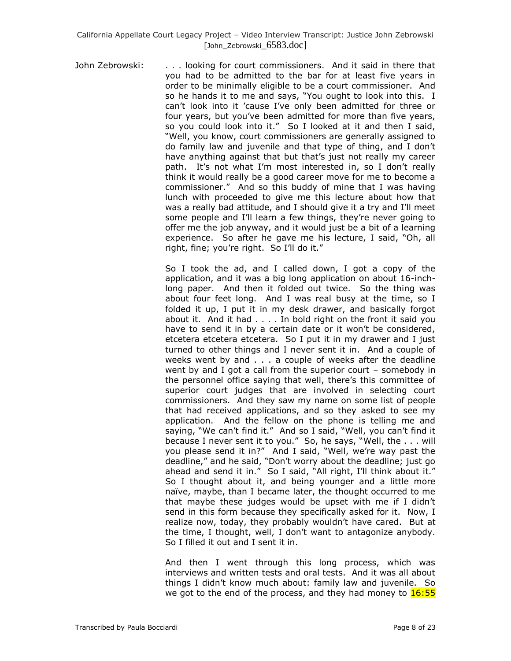John Zebrowski: . . . looking for court commissioners. And it said in there that you had to be admitted to the bar for at least five years in order to be minimally eligible to be a court commissioner. And so he hands it to me and says, "You ought to look into this. I can't look into it 'cause I've only been admitted for three or four years, but you've been admitted for more than five years, so you could look into it." So I looked at it and then I said, "Well, you know, court commissioners are generally assigned to do family law and juvenile and that type of thing, and I don't have anything against that but that's just not really my career path. It's not what I'm most interested in, so I don't really think it would really be a good career move for me to become a commissioner." And so this buddy of mine that I was having lunch with proceeded to give me this lecture about how that was a really bad attitude, and I should give it a try and I'll meet some people and I'll learn a few things, they're never going to offer me the job anyway, and it would just be a bit of a learning experience. So after he gave me his lecture, I said, "Oh, all right, fine; you're right. So I'll do it."

> So I took the ad, and I called down, I got a copy of the application, and it was a big long application on about 16-inchlong paper. And then it folded out twice. So the thing was about four feet long. And I was real busy at the time, so I folded it up, I put it in my desk drawer, and basically forgot about it. And it had . . . . In bold right on the front it said you have to send it in by a certain date or it won't be considered, etcetera etcetera etcetera. So I put it in my drawer and I just turned to other things and I never sent it in. And a couple of weeks went by and . . . a couple of weeks after the deadline went by and I got a call from the superior court – somebody in the personnel office saying that well, there's this committee of superior court judges that are involved in selecting court commissioners. And they saw my name on some list of people that had received applications, and so they asked to see my application. And the fellow on the phone is telling me and saying, "We can't find it." And so I said, "Well, you can't find it because I never sent it to you." So, he says, "Well, the . . . will you please send it in?" And I said, "Well, we're way past the deadline," and he said, "Don't worry about the deadline; just go ahead and send it in." So I said, "All right, I'll think about it." So I thought about it, and being younger and a little more naïve, maybe, than I became later, the thought occurred to me that maybe these judges would be upset with me if I didn't send in this form because they specifically asked for it. Now, I realize now, today, they probably wouldn't have cared. But at the time, I thought, well, I don't want to antagonize anybody. So I filled it out and I sent it in.

> And then I went through this long process, which was interviews and written tests and oral tests. And it was all about things I didn't know much about: family law and juvenile. So we got to the end of the process, and they had money to  $16:55$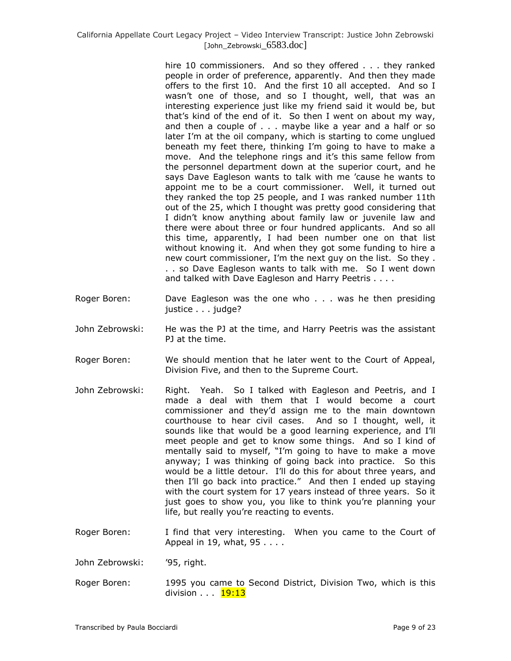hire 10 commissioners. And so they offered . . . they ranked people in order of preference, apparently. And then they made offers to the first 10. And the first 10 all accepted. And so I wasn't one of those, and so I thought, well, that was an interesting experience just like my friend said it would be, but that's kind of the end of it. So then I went on about my way, and then a couple of . . . maybe like a year and a half or so later I'm at the oil company, which is starting to come unglued beneath my feet there, thinking I'm going to have to make a move. And the telephone rings and it's this same fellow from the personnel department down at the superior court, and he says Dave Eagleson wants to talk with me 'cause he wants to appoint me to be a court commissioner. Well, it turned out they ranked the top 25 people, and I was ranked number 11th out of the 25, which I thought was pretty good considering that I didn't know anything about family law or juvenile law and there were about three or four hundred applicants. And so all this time, apparently, I had been number one on that list without knowing it. And when they got some funding to hire a new court commissioner, I'm the next guy on the list. So they . . . so Dave Eagleson wants to talk with me. So I went down and talked with Dave Eagleson and Harry Peetris . . . .

- Roger Boren: Dave Eagleson was the one who . . . was he then presiding justice . . . judge?
- John Zebrowski: He was the PJ at the time, and Harry Peetris was the assistant PJ at the time.
- Roger Boren: We should mention that he later went to the Court of Appeal, Division Five, and then to the Supreme Court.
- John Zebrowski: Right. Yeah. So I talked with Eagleson and Peetris, and I made a deal with them that I would become a court commissioner and they'd assign me to the main downtown courthouse to hear civil cases. And so I thought, well, it sounds like that would be a good learning experience, and I'll meet people and get to know some things. And so I kind of mentally said to myself, "I'm going to have to make a move anyway; I was thinking of going back into practice. So this would be a little detour. I'll do this for about three years, and then I'll go back into practice." And then I ended up staying with the court system for 17 years instead of three years. So it just goes to show you, you like to think you're planning your life, but really you're reacting to events.
- Roger Boren: I find that very interesting. When you came to the Court of Appeal in 19, what, 95 . . . .
- John Zebrowski: '95, right.
- Roger Boren: 1995 you came to Second District, Division Two, which is this division . . . 19:13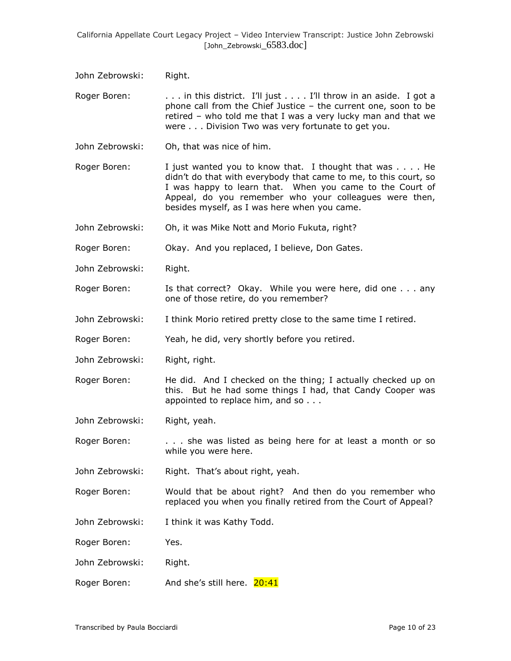John Zebrowski: Right.

Roger Boren: . . . . in this district. I'll just . . . . I'll throw in an aside. I got a phone call from the Chief Justice – the current one, soon to be retired – who told me that I was a very lucky man and that we were . . . Division Two was very fortunate to get you.

John Zebrowski: Oh, that was nice of him.

Roger Boren: I just wanted you to know that. I thought that was . . . . He didn't do that with everybody that came to me, to this court, so I was happy to learn that. When you came to the Court of Appeal, do you remember who your colleagues were then, besides myself, as I was here when you came.

John Zebrowski: Oh, it was Mike Nott and Morio Fukuta, right?

Roger Boren: Okay. And you replaced, I believe, Don Gates.

- John Zebrowski: Right.
- Roger Boren: Is that correct? Okay. While you were here, did one . . . any one of those retire, do you remember?
- John Zebrowski: I think Morio retired pretty close to the same time I retired.

Roger Boren: Yeah, he did, very shortly before you retired.

John Zebrowski: Right, right.

Roger Boren: He did. And I checked on the thing; I actually checked up on this. But he had some things I had, that Candy Cooper was appointed to replace him, and so . . .

John Zebrowski: Right, yeah.

Roger Boren: . . . . . she was listed as being here for at least a month or so while you were here.

John Zebrowski: Right. That's about right, yeah.

Roger Boren: Would that be about right? And then do you remember who replaced you when you finally retired from the Court of Appeal?

John Zebrowski: I think it was Kathy Todd.

Roger Boren: Yes.

- John Zebrowski: Right.
- Roger Boren: And she's still here. 20:41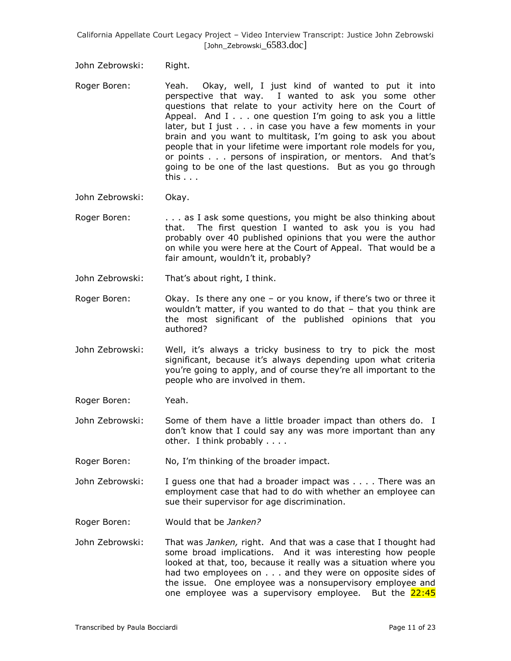John Zebrowski: Right.

- Roger Boren: Yeah. Okay, well, I just kind of wanted to put it into perspective that way. I wanted to ask you some other questions that relate to your activity here on the Court of Appeal. And I . . . one question I'm going to ask you a little later, but I just . . . in case you have a few moments in your brain and you want to multitask, I'm going to ask you about people that in your lifetime were important role models for you, or points . . . persons of inspiration, or mentors. And that's going to be one of the last questions. But as you go through this . . .
- John Zebrowski: Okay.
- Roger Boren: . . . . as I ask some questions, you might be also thinking about that. The first question I wanted to ask you is you had probably over 40 published opinions that you were the author on while you were here at the Court of Appeal. That would be a fair amount, wouldn't it, probably?
- John Zebrowski: That's about right, I think.
- Roger Boren: Okay. Is there any one or you know, if there's two or three it wouldn't matter, if you wanted to do that – that you think are the most significant of the published opinions that you authored?
- John Zebrowski: Well, it's always a tricky business to try to pick the most significant, because it's always depending upon what criteria you're going to apply, and of course they're all important to the people who are involved in them.
- Roger Boren: Yeah.
- John Zebrowski: Some of them have a little broader impact than others do. I don't know that I could say any was more important than any other. I think probably . . . .
- Roger Boren: No, I'm thinking of the broader impact.
- John Zebrowski: I guess one that had a broader impact was . . . . There was an employment case that had to do with whether an employee can sue their supervisor for age discrimination.
- Roger Boren: Would that be *Janken?*
- John Zebrowski: That was *Janken,* right. And that was a case that I thought had some broad implications. And it was interesting how people looked at that, too, because it really was a situation where you had two employees on . . . and they were on opposite sides of the issue. One employee was a nonsupervisory employee and one employee was a supervisory employee. But the  $22:45$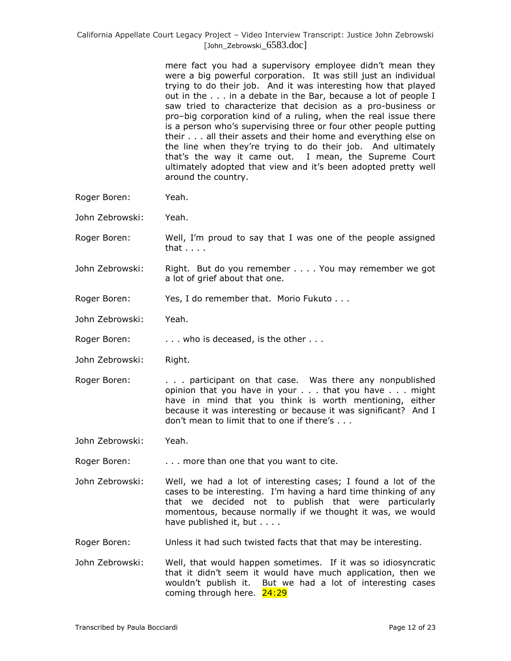mere fact you had a supervisory employee didn't mean they were a big powerful corporation. It was still just an individual trying to do their job. And it was interesting how that played out in the . . . in a debate in the Bar, because a lot of people I saw tried to characterize that decision as a pro-business or pro–big corporation kind of a ruling, when the real issue there is a person who's supervising three or four other people putting their . . . all their assets and their home and everything else on the line when they're trying to do their job. And ultimately that's the way it came out. I mean, the Supreme Court ultimately adopted that view and it's been adopted pretty well around the country.

- Roger Boren: Yeah.
- John Zebrowski: Yeah.
- Roger Boren: Well, I'm proud to say that I was one of the people assigned that . . . .
- John Zebrowski: Right. But do you remember . . . . You may remember we got a lot of grief about that one.
- Roger Boren: Yes, I do remember that. Morio Fukuto . . .
- John Zebrowski: Yeah.
- Roger Boren: . . . . . who is deceased, is the other . . .
- John Zebrowski: Right.
- Roger Boren: . . . . . participant on that case. Was there any nonpublished opinion that you have in your . . . that you have . . . might have in mind that you think is worth mentioning, either because it was interesting or because it was significant? And I don't mean to limit that to one if there's . . .
- John Zebrowski: Yeah.
- Roger Boren: . . . . more than one that you want to cite.
- John Zebrowski: Well, we had a lot of interesting cases; I found a lot of the cases to be interesting. I'm having a hard time thinking of any that we decided not to publish that were particularly momentous, because normally if we thought it was, we would have published it, but . . . .
- Roger Boren: Unless it had such twisted facts that that may be interesting.
- John Zebrowski: Well, that would happen sometimes. If it was so idiosyncratic that it didn't seem it would have much application, then we wouldn't publish it. But we had a lot of interesting cases coming through here. 24:29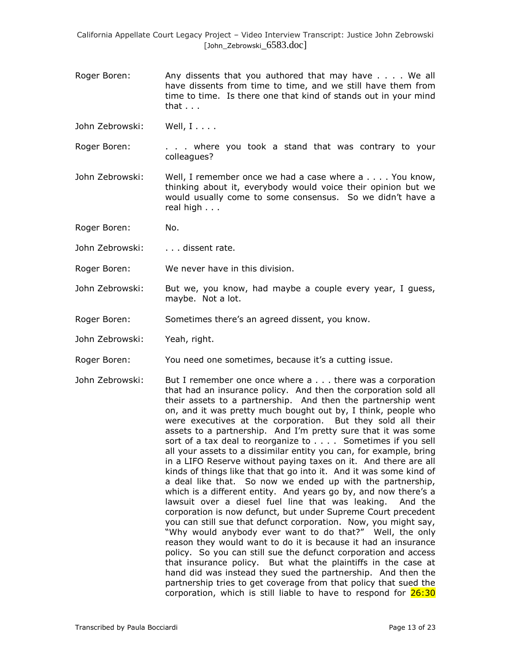- Roger Boren: Any dissents that you authored that may have . . . . We all have dissents from time to time, and we still have them from time to time. Is there one that kind of stands out in your mind that . . .
- John Zebrowski: Well, I....
- Roger Boren: . . . . where you took a stand that was contrary to your colleagues?
- John Zebrowski: Well, I remember once we had a case where a . . . . You know, thinking about it, everybody would voice their opinion but we would usually come to some consensus. So we didn't have a real high . . .
- Roger Boren: No.
- John Zebrowski: . . . . dissent rate.
- Roger Boren: We never have in this division.
- John Zebrowski: But we, you know, had maybe a couple every year, I guess, maybe. Not a lot.
- Roger Boren: Sometimes there's an agreed dissent, you know.
- John Zebrowski: Yeah, right.
- Roger Boren: You need one sometimes, because it's a cutting issue.
- John Zebrowski: But I remember one once where a . . . there was a corporation that had an insurance policy. And then the corporation sold all their assets to a partnership. And then the partnership went on, and it was pretty much bought out by, I think, people who were executives at the corporation. But they sold all their assets to a partnership. And I'm pretty sure that it was some sort of a tax deal to reorganize to . . . . Sometimes if you sell all your assets to a dissimilar entity you can, for example, bring in a LIFO Reserve without paying taxes on it. And there are all kinds of things like that that go into it. And it was some kind of a deal like that. So now we ended up with the partnership, which is a different entity. And years go by, and now there's a lawsuit over a diesel fuel line that was leaking. And the corporation is now defunct, but under Supreme Court precedent you can still sue that defunct corporation. Now, you might say, "Why would anybody ever want to do that?" Well, the only reason they would want to do it is because it had an insurance policy. So you can still sue the defunct corporation and access that insurance policy. But what the plaintiffs in the case at hand did was instead they sued the partnership. And then the partnership tries to get coverage from that policy that sued the corporation, which is still liable to have to respond for 26:30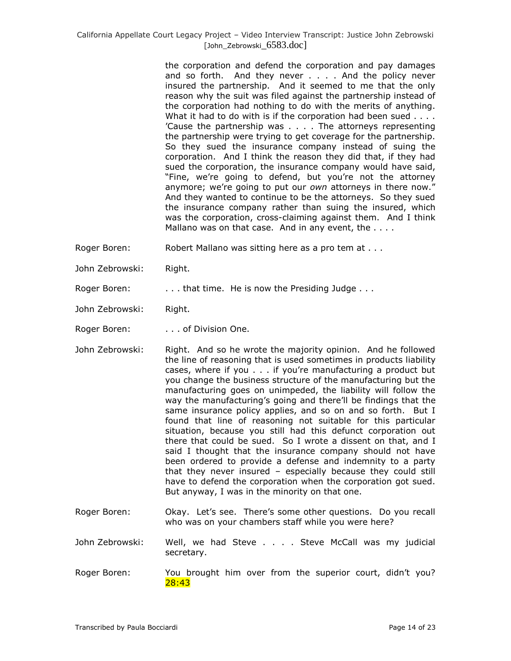the corporation and defend the corporation and pay damages and so forth. And they never . . . . And the policy never insured the partnership. And it seemed to me that the only reason why the suit was filed against the partnership instead of the corporation had nothing to do with the merits of anything. What it had to do with is if the corporation had been sued . . . . 'Cause the partnership was . . . . The attorneys representing the partnership were trying to get coverage for the partnership. So they sued the insurance company instead of suing the corporation. And I think the reason they did that, if they had sued the corporation, the insurance company would have said, "Fine, we're going to defend, but you're not the attorney anymore; we're going to put our *own* attorneys in there now." And they wanted to continue to be the attorneys. So they sued the insurance company rather than suing the insured, which was the corporation, cross-claiming against them. And I think Mallano was on that case. And in any event, the . . . .

- Roger Boren: Robert Mallano was sitting here as a pro tem at . . .
- John Zebrowski: Right.

Roger Boren: . . . . . that time. He is now the Presiding Judge . . .

John Zebrowski: Right.

Roger Boren: . . . . . of Division One.

- John Zebrowski: Right. And so he wrote the majority opinion. And he followed the line of reasoning that is used sometimes in products liability cases, where if you . . . if you're manufacturing a product but you change the business structure of the manufacturing but the manufacturing goes on unimpeded, the liability will follow the way the manufacturing's going and there'll be findings that the same insurance policy applies, and so on and so forth. But I found that line of reasoning not suitable for this particular situation, because you still had this defunct corporation out there that could be sued. So I wrote a dissent on that, and I said I thought that the insurance company should not have been ordered to provide a defense and indemnity to a party that they never insured – especially because they could still have to defend the corporation when the corporation got sued. But anyway, I was in the minority on that one.
- Roger Boren: Okay. Let's see. There's some other questions. Do you recall who was on your chambers staff while you were here?
- John Zebrowski: Well, we had Steve . . . . Steve McCall was my judicial secretary.
- Roger Boren: You brought him over from the superior court, didn't you? 28:43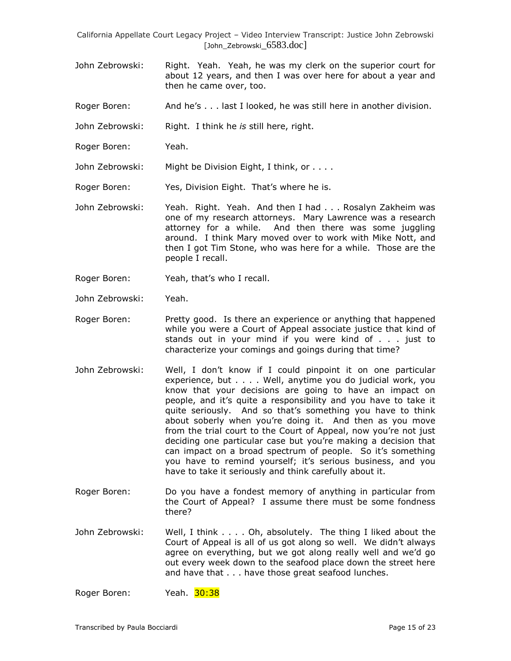- John Zebrowski: Right. Yeah. Yeah, he was my clerk on the superior court for about 12 years, and then I was over here for about a year and then he came over, too.
- Roger Boren: And he's . . . last I looked, he was still here in another division.
- John Zebrowski: Right. I think he *is* still here, right.
- Roger Boren: Yeah.

John Zebrowski: Might be Division Eight, I think, or . . . .

Roger Boren: Yes, Division Eight. That's where he is.

- John Zebrowski: Yeah. Right. Yeah. And then I had . . . Rosalyn Zakheim was one of my research attorneys. Mary Lawrence was a research attorney for a while. And then there was some juggling around. I think Mary moved over to work with Mike Nott, and then I got Tim Stone, who was here for a while. Those are the people I recall.
- Roger Boren: Yeah, that's who I recall.
- John Zebrowski: Yeah.
- Roger Boren: Pretty good. Is there an experience or anything that happened while you were a Court of Appeal associate justice that kind of stands out in your mind if you were kind of . . . just to characterize your comings and goings during that time?
- John Zebrowski: Well, I don't know if I could pinpoint it on one particular experience, but . . . . Well, anytime you do judicial work, you know that your decisions are going to have an impact on people, and it's quite a responsibility and you have to take it quite seriously. And so that's something you have to think about soberly when you're doing it. And then as you move from the trial court to the Court of Appeal, now you're not just deciding one particular case but you're making a decision that can impact on a broad spectrum of people. So it's something you have to remind yourself; it's serious business, and you have to take it seriously and think carefully about it.
- Roger Boren: Do you have a fondest memory of anything in particular from the Court of Appeal? I assume there must be some fondness there?
- John Zebrowski: Well, I think . . . . Oh, absolutely. The thing I liked about the Court of Appeal is all of us got along so well. We didn't always agree on everything, but we got along really well and we'd go out every week down to the seafood place down the street here and have that . . . have those great seafood lunches.

Roger Boren: Yeah. 30:38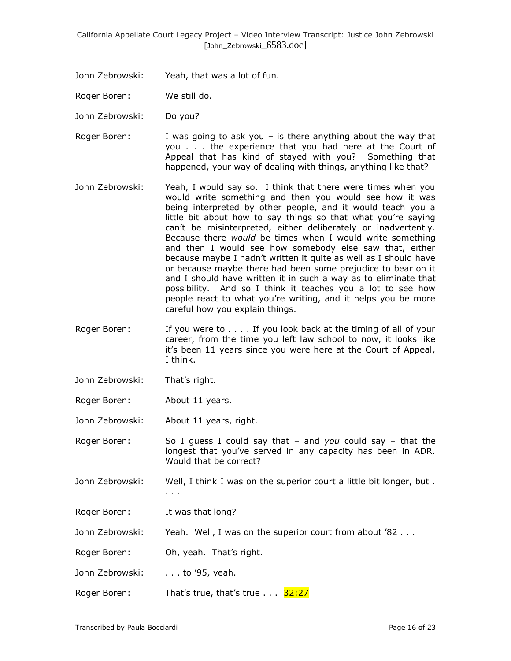John Zebrowski: Yeah, that was a lot of fun.

Roger Boren: We still do.

John Zebrowski: Do you?

- Roger Boren: I was going to ask you  $-$  is there anything about the way that you . . . the experience that you had here at the Court of Appeal that has kind of stayed with you? Something that happened, your way of dealing with things, anything like that?
- John Zebrowski: Yeah, I would say so. I think that there were times when you would write something and then you would see how it was being interpreted by other people, and it would teach you a little bit about how to say things so that what you're saying can't be misinterpreted, either deliberately or inadvertently. Because there *would* be times when I would write something and then I would see how somebody else saw that, either because maybe I hadn't written it quite as well as I should have or because maybe there had been some prejudice to bear on it and I should have written it in such a way as to eliminate that possibility. And so I think it teaches you a lot to see how people react to what you're writing, and it helps you be more careful how you explain things.
- Roger Boren: If you were to . . . . If you look back at the timing of all of your career, from the time you left law school to now, it looks like it's been 11 years since you were here at the Court of Appeal, I think.
- John Zebrowski: That's right.
- Roger Boren: About 11 years.

John Zebrowski: About 11 years, right.

Roger Boren: So I guess I could say that – and *you* could say – that the longest that you've served in any capacity has been in ADR. Would that be correct?

John Zebrowski: Well, I think I was on the superior court a little bit longer, but. . . .

Roger Boren: It was that long?

John Zebrowski: Yeah. Well, I was on the superior court from about '82 . . .

Roger Boren: Oh, yeah. That's right.

John Zebrowski: . . . to '95, yeah.

Roger Boren: That's true, that's true . . . 32:27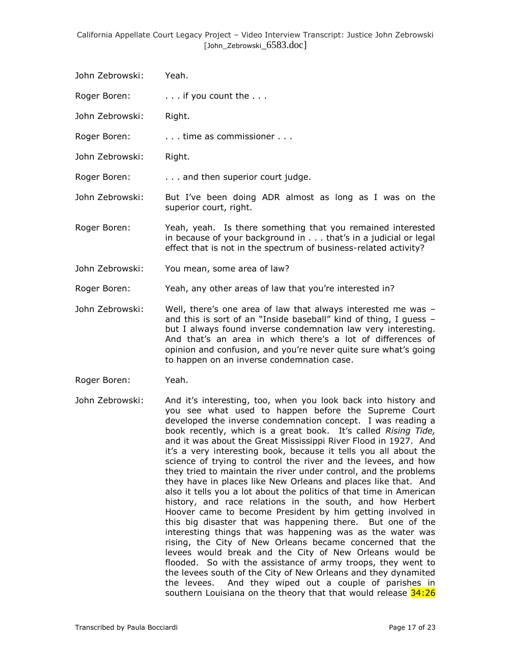- John Zebrowski: Yeah.
- Roger Boren: ... if you count the ...
- John Zebrowski: Right.
- Roger Boren: . . . . . time as commissioner . . .
- John Zebrowski: Right.
- Roger Boren: . . . . . . and then superior court judge.
- John Zebrowski: But I've been doing ADR almost as long as I was on the superior court, right.
- Roger Boren: Yeah, yeah. Is there something that you remained interested in because of your background in . . . that's in a judicial or legal effect that is not in the spectrum of business-related activity?
- John Zebrowski: You mean, some area of law?
- Roger Boren: Yeah, any other areas of law that you're interested in?
- John Zebrowski: Well, there's one area of law that always interested me was and this is sort of an "Inside baseball" kind of thing, I guess – but I always found inverse condemnation law very interesting. And that's an area in which there's a lot of differences of opinion and confusion, and you're never quite sure what's going to happen on an inverse condemnation case.
- Roger Boren: Yeah.
- John Zebrowski: And it's interesting, too, when you look back into history and you see what used to happen before the Supreme Court developed the inverse condemnation concept. I was reading a book recently, which is a great book. It's called *Rising Tide,* and it was about the Great Mississippi River Flood in 1927. And it's a very interesting book, because it tells you all about the science of trying to control the river and the levees, and how they tried to maintain the river under control, and the problems they have in places like New Orleans and places like that. And also it tells you a lot about the politics of that time in American history, and race relations in the south, and how Herbert Hoover came to become President by him getting involved in this big disaster that was happening there. But one of the interesting things that was happening was as the water was rising, the City of New Orleans became concerned that the levees would break and the City of New Orleans would be flooded. So with the assistance of army troops, they went to the levees south of the City of New Orleans and they dynamited the levees. And they wiped out a couple of parishes in southern Louisiana on the theory that that would release 34:26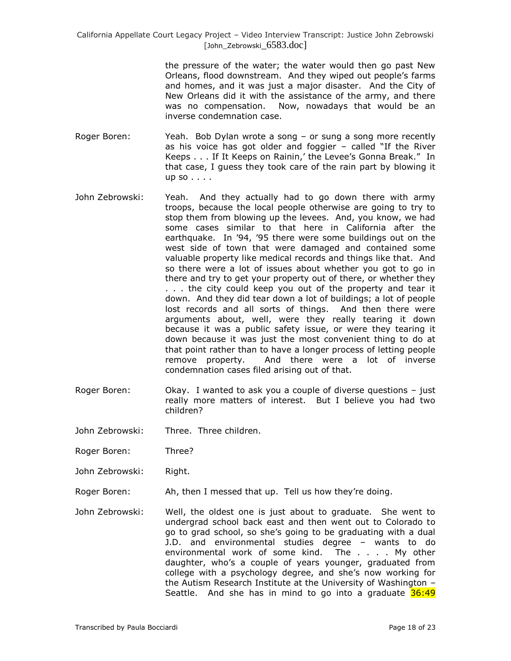> the pressure of the water; the water would then go past New Orleans, flood downstream. And they wiped out people's farms and homes, and it was just a major disaster. And the City of New Orleans did it with the assistance of the army, and there was no compensation. Now, nowadays that would be an inverse condemnation case.

- Roger Boren: Yeah. Bob Dylan wrote a song or sung a song more recently as his voice has got older and foggier – called "If the River Keeps . . . If It Keeps on Rainin,' the Levee's Gonna Break." In that case, I guess they took care of the rain part by blowing it up so . . . .
- John Zebrowski: Yeah. And they actually had to go down there with army troops, because the local people otherwise are going to try to stop them from blowing up the levees. And, you know, we had some cases similar to that here in California after the earthquake. In '94, '95 there were some buildings out on the west side of town that were damaged and contained some valuable property like medical records and things like that. And so there were a lot of issues about whether you got to go in there and try to get your property out of there, or whether they . . . the city could keep you out of the property and tear it down. And they did tear down a lot of buildings; a lot of people lost records and all sorts of things. And then there were arguments about, well, were they really tearing it down because it was a public safety issue, or were they tearing it down because it was just the most convenient thing to do at that point rather than to have a longer process of letting people remove property. And there were a lot of inverse condemnation cases filed arising out of that.
- Roger Boren: Okay. I wanted to ask you a couple of diverse questions just really more matters of interest. But I believe you had two children?
- John Zebrowski: Three. Three children.
- Roger Boren: Three?
- John Zebrowski: Right.
- Roger Boren: Ah, then I messed that up. Tell us how they're doing.
- John Zebrowski: Well, the oldest one is just about to graduate. She went to undergrad school back east and then went out to Colorado to go to grad school, so she's going to be graduating with a dual J.D. and environmental studies degree – wants to do environmental work of some kind. The . . . . My other daughter, who's a couple of years younger, graduated from college with a psychology degree, and she's now working for the Autism Research Institute at the University of Washington – Seattle. And she has in mind to go into a graduate  $36:49$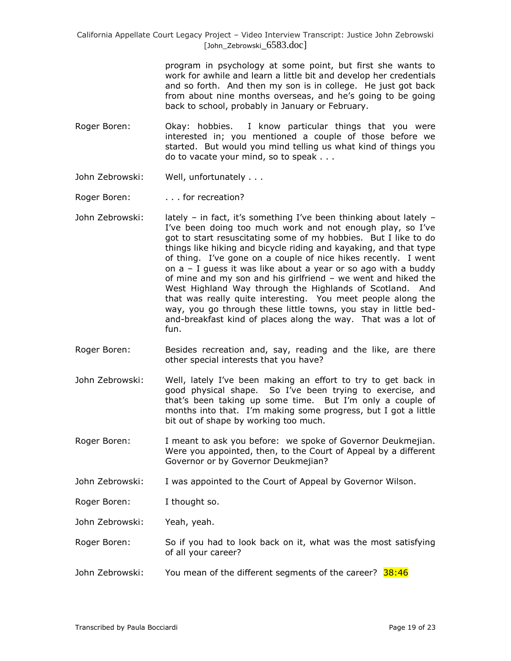> program in psychology at some point, but first she wants to work for awhile and learn a little bit and develop her credentials and so forth. And then my son is in college. He just got back from about nine months overseas, and he's going to be going back to school, probably in January or February.

- Roger Boren: Okay: hobbies. I know particular things that you were interested in; you mentioned a couple of those before we started. But would you mind telling us what kind of things you do to vacate your mind, so to speak . . .
- John Zebrowski: Well, unfortunately . . .
- Roger Boren: . . . . for recreation?
- John Zebrowski: lately in fact, it's something I've been thinking about lately I've been doing too much work and not enough play, so I've got to start resuscitating some of my hobbies. But I like to do things like hiking and bicycle riding and kayaking, and that type of thing. I've gone on a couple of nice hikes recently. I went on a – I guess it was like about a year or so ago with a buddy of mine and my son and his girlfriend – we went and hiked the West Highland Way through the Highlands of Scotland. And that was really quite interesting. You meet people along the way, you go through these little towns, you stay in little bedand-breakfast kind of places along the way. That was a lot of fun.
- Roger Boren: Besides recreation and, say, reading and the like, are there other special interests that you have?
- John Zebrowski: Well, lately I've been making an effort to try to get back in good physical shape. So I've been trying to exercise, and that's been taking up some time. But I'm only a couple of months into that. I'm making some progress, but I got a little bit out of shape by working too much.
- Roger Boren: I meant to ask you before: we spoke of Governor Deukmejian. Were you appointed, then, to the Court of Appeal by a different Governor or by Governor Deukmejian?
- John Zebrowski: I was appointed to the Court of Appeal by Governor Wilson.
- Roger Boren: I thought so.
- John Zebrowski: Yeah, yeah.
- Roger Boren: So if you had to look back on it, what was the most satisfying of all your career?
- John Zebrowski: You mean of the different segments of the career? 38:46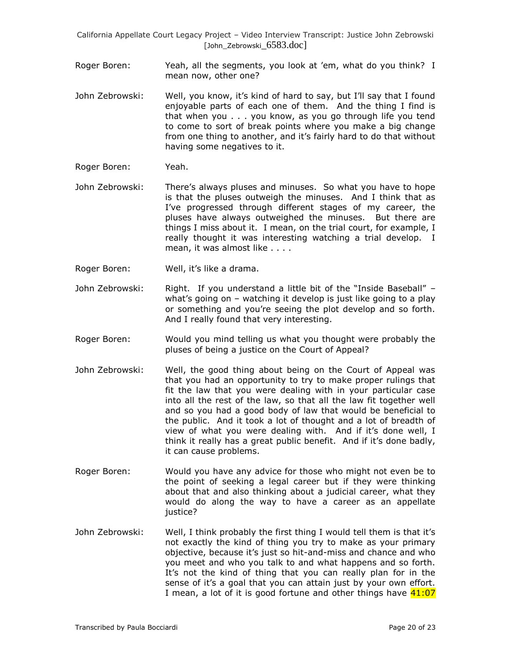- Roger Boren: Yeah, all the segments, you look at 'em, what do you think? I mean now, other one?
- John Zebrowski: Well, you know, it's kind of hard to say, but I'll say that I found enjoyable parts of each one of them. And the thing I find is that when you . . . you know, as you go through life you tend to come to sort of break points where you make a big change from one thing to another, and it's fairly hard to do that without having some negatives to it.
- Roger Boren: Yeah.
- John Zebrowski: There's always pluses and minuses. So what you have to hope is that the pluses outweigh the minuses. And I think that as I've progressed through different stages of my career, the pluses have always outweighed the minuses. But there are things I miss about it. I mean, on the trial court, for example, I really thought it was interesting watching a trial develop. I mean, it was almost like . . . .
- Roger Boren: Well, it's like a drama.
- John Zebrowski: Right. If you understand a little bit of the "Inside Baseball" what's going on – watching it develop is just like going to a play or something and you're seeing the plot develop and so forth. And I really found that very interesting.
- Roger Boren: Would you mind telling us what you thought were probably the pluses of being a justice on the Court of Appeal?
- John Zebrowski: Well, the good thing about being on the Court of Appeal was that you had an opportunity to try to make proper rulings that fit the law that you were dealing with in your particular case into all the rest of the law, so that all the law fit together well and so you had a good body of law that would be beneficial to the public. And it took a lot of thought and a lot of breadth of view of what you were dealing with. And if it's done well, I think it really has a great public benefit. And if it's done badly, it can cause problems.
- Roger Boren: Would you have any advice for those who might not even be to the point of seeking a legal career but if they were thinking about that and also thinking about a judicial career, what they would do along the way to have a career as an appellate justice?
- John Zebrowski: Well, I think probably the first thing I would tell them is that it's not exactly the kind of thing you try to make as your primary objective, because it's just so hit-and-miss and chance and who you meet and who you talk to and what happens and so forth. It's not the kind of thing that you can really plan for in the sense of it's a goal that you can attain just by your own effort. I mean, a lot of it is good fortune and other things have  $41:07$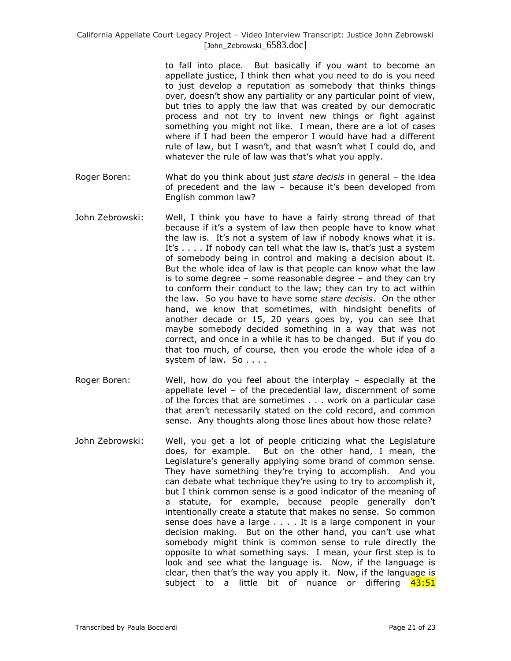to fall into place. But basically if you want to become an appellate justice, I think then what you need to do is you need to just develop a reputation as somebody that thinks things over, doesn't show any partiality or any particular point of view, but tries to apply the law that was created by our democratic process and not try to invent new things or fight against something you might not like. I mean, there are a lot of cases where if I had been the emperor I would have had a different rule of law, but I wasn't, and that wasn't what I could do, and whatever the rule of law was that's what you apply.

- Roger Boren: What do you think about just *stare decisis* in general the idea of precedent and the law – because it's been developed from English common law?
- John Zebrowski: Well, I think you have to have a fairly strong thread of that because if it's a system of law then people have to know what the law is. It's not a system of law if nobody knows what it is. It's . . . . If nobody can tell what the law is, that's just a system of somebody being in control and making a decision about it. But the whole idea of law is that people can know what the law is to some degree – some reasonable degree – and they can try to conform their conduct to the law; they can try to act within the law. So you have to have some *stare decisis*. On the other hand, we know that sometimes, with hindsight benefits of another decade or 15, 20 years goes by, you can see that maybe somebody decided something in a way that was not correct, and once in a while it has to be changed. But if you do that too much, of course, then you erode the whole idea of a system of law. So . . . .
- Roger Boren: Well, how do you feel about the interplay especially at the appellate level – of the precedential law, discernment of some of the forces that are sometimes . . . work on a particular case that aren't necessarily stated on the cold record, and common sense. Any thoughts along those lines about how those relate?
- John Zebrowski: Well, you get a lot of people criticizing what the Legislature does, for example. But on the other hand, I mean, the Legislature's generally applying some brand of common sense. They have something they're trying to accomplish. And you can debate what technique they're using to try to accomplish it, but I think common sense is a good indicator of the meaning of a statute, for example, because people generally don't intentionally create a statute that makes no sense. So common sense does have a large . . . . It is a large component in your decision making. But on the other hand, you can't use what somebody might think is common sense to rule directly the opposite to what something says. I mean, your first step is to look and see what the language is. Now, if the language is clear, then that's the way you apply it. Now, if the language is subject to a little bit of nuance or differing 43:51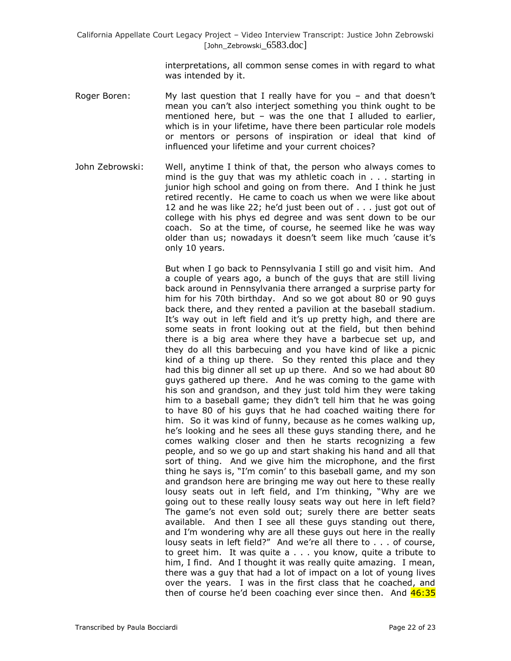interpretations, all common sense comes in with regard to what was intended by it.

- Roger Boren: My last question that I really have for you and that doesn't mean you can't also interject something you think ought to be mentioned here, but – was the one that I alluded to earlier, which is in your lifetime, have there been particular role models or mentors or persons of inspiration or ideal that kind of influenced your lifetime and your current choices?
- John Zebrowski: Well, anytime I think of that, the person who always comes to mind is the guy that was my athletic coach in . . . starting in junior high school and going on from there. And I think he just retired recently. He came to coach us when we were like about 12 and he was like 22; he'd just been out of . . . just got out of college with his phys ed degree and was sent down to be our coach. So at the time, of course, he seemed like he was way older than us; nowadays it doesn't seem like much 'cause it's only 10 years.

But when I go back to Pennsylvania I still go and visit him. And a couple of years ago, a bunch of the guys that are still living back around in Pennsylvania there arranged a surprise party for him for his 70th birthday. And so we got about 80 or 90 guys back there, and they rented a pavilion at the baseball stadium. It's way out in left field and it's up pretty high, and there are some seats in front looking out at the field, but then behind there is a big area where they have a barbecue set up, and they do all this barbecuing and you have kind of like a picnic kind of a thing up there. So they rented this place and they had this big dinner all set up up there. And so we had about 80 guys gathered up there. And he was coming to the game with his son and grandson, and they just told him they were taking him to a baseball game; they didn't tell him that he was going to have 80 of his guys that he had coached waiting there for him. So it was kind of funny, because as he comes walking up, he's looking and he sees all these guys standing there, and he comes walking closer and then he starts recognizing a few people, and so we go up and start shaking his hand and all that sort of thing. And we give him the microphone, and the first thing he says is, "I'm comin' to this baseball game, and my son and grandson here are bringing me way out here to these really lousy seats out in left field, and I'm thinking, "Why are we going out to these really lousy seats way out here in left field? The game's not even sold out; surely there are better seats available. And then I see all these guys standing out there, and I'm wondering why are all these guys out here in the really lousy seats in left field?" And we're all there to . . . of course, to greet him. It was quite a . . . you know, quite a tribute to him, I find. And I thought it was really quite amazing. I mean, there was a guy that had a lot of impact on a lot of young lives over the years. I was in the first class that he coached, and then of course he'd been coaching ever since then. And  $46:35$